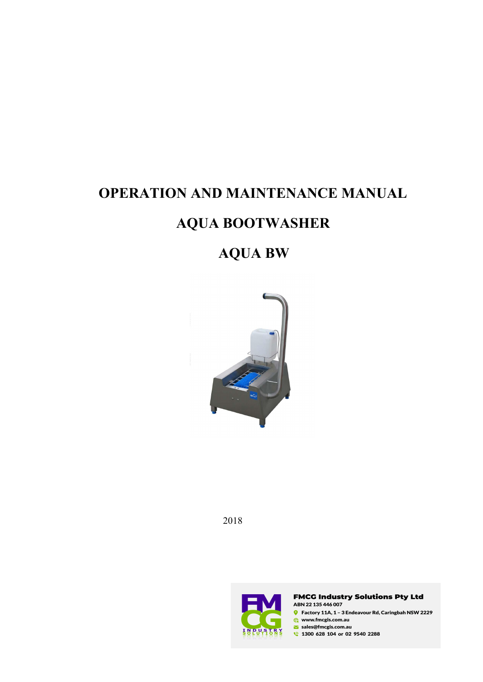# **OPERATION AND MAINTENANCE MANUAL**

# **AQUA BOOTWASHER**

# **AQUA BW**



2018



**FMCG Industry Solutions Pty Ltd** ABN 22 135 446 007  $\bullet$  Factory 11A, 1 - 3 Endeavour Rd, Caringbah NSW 2229  $\bigoplus$  www.fmcgis.com.au sales@fmcgis.com.au

1300 628 104 or 02 9540 2288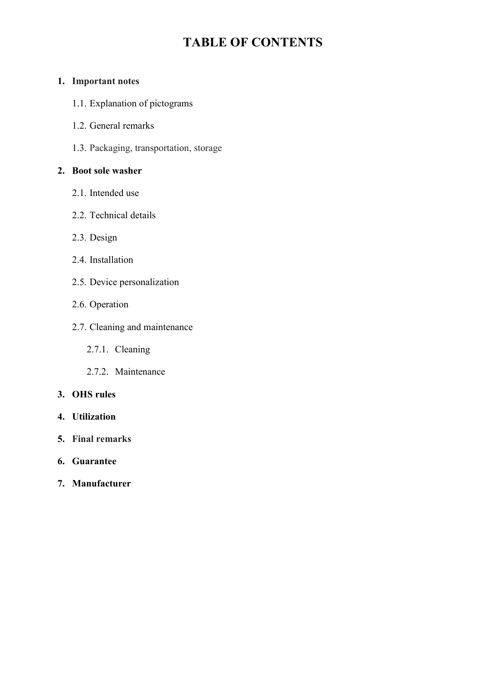# **TABLE OF CONTENTS**

## **1. Important notes**

- 1.1. Explanation of pictograms
- 1.2. General remarks
- 1.3. Packaging, transportation, storage

## **2. Boot sole washer**

- 2.1. Intended use
- 2.2. Technical details
- 2.3. Design
- 2.4. Installation
- 2.5. Device personalization
- 2.6. Operation
- 2.7. Cleaning and maintenance
	- 2.7.1. Cleaning
	- 2.7.2. Maintenance

### **3. OHS rules**

- **4. Utilization**
- **5. Final remarks**
- **6. Guarantee**
- **7. Manufacturer**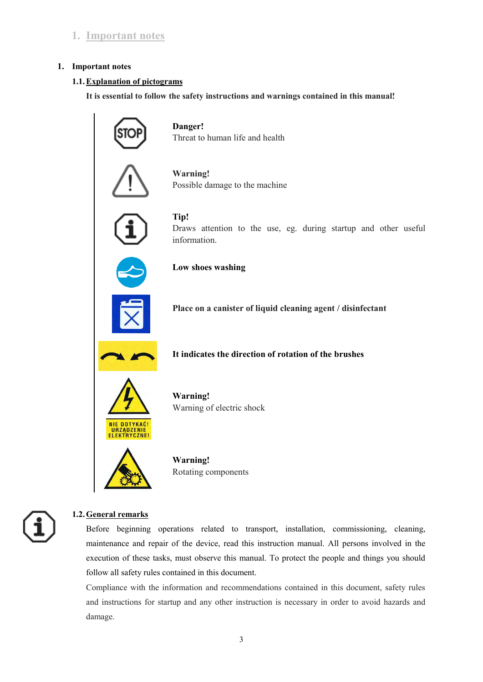# **1. Important notes**

#### **1. Important notes**

#### **1.1.Explanation of pictograms**

**It is essential to follow the safety instructions and warnings contained in this manual!**



#### **1.2.General remarks**

Before beginning operations related to transport, installation, commissioning, cleaning, maintenance and repair of the device, read this instruction manual. All persons involved in the execution of these tasks, must observe this manual. To protect the people and things you should follow all safety rules contained in this document.

Compliance with the information and recommendations contained in this document, safety rules and instructions for startup and any other instruction is necessary in order to avoid hazards and damage.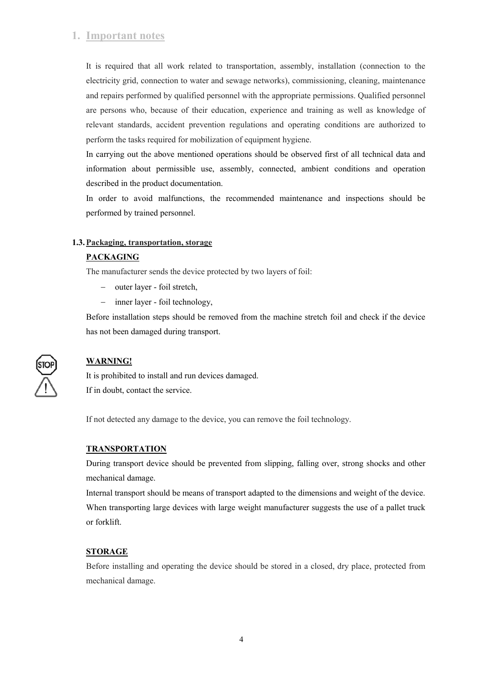# **1. Important notes**

It is required that all work related to transportation, assembly, installation (connection to the electricity grid, connection to water and sewage networks), commissioning, cleaning, maintenance and repairs performed by qualified personnel with the appropriate permissions. Qualified personnel are persons who, because of their education, experience and training as well as knowledge of relevant standards, accident prevention regulations and operating conditions are authorized to perform the tasks required for mobilization of equipment hygiene.

In carrying out the above mentioned operations should be observed first of all technical data and information about permissible use, assembly, connected, ambient conditions and operation described in the product documentation.

In order to avoid malfunctions, the recommended maintenance and inspections should be performed by trained personnel.

#### **1.3.Packaging, transportation, storage**

### **PACKAGING**

The manufacturer sends the device protected by two layers of foil:

- outer layer foil stretch,
- inner layer foil technology,

Before installation steps should be removed from the machine stretch foil and check if the device has not been damaged during transport.



# **WARNING!**

It is prohibited to install and run devices damaged. If in doubt, contact the service.

If not detected any damage to the device, you can remove the foil technology.

### **TRANSPORTATION**

During transport device should be prevented from slipping, falling over, strong shocks and other mechanical damage.

Internal transport should be means of transport adapted to the dimensions and weight of the device. When transporting large devices with large weight manufacturer suggests the use of a pallet truck or forklift.

#### **STORAGE**

Before installing and operating the device should be stored in a closed, dry place, protected from mechanical damage.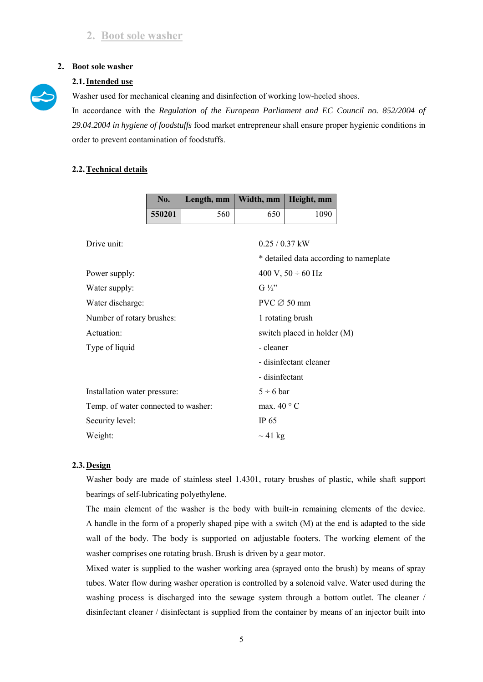## **2.1.Intended use**

Washer used for mechanical cleaning and disinfection of working low-heeled shoes.

In accordance with the *Regulation of the European Parliament and EC Council no. 852/2004 of 29.04.2004 in hygiene of foodstuffs* food market entrepreneur shall ensure proper hygienic conditions in order to prevent contamination of foodstuffs.

### **2.2.Technical details**

|                              | No.                                 | Length, mm | Width, mm        | Height, mm                  |                                        |  |  |
|------------------------------|-------------------------------------|------------|------------------|-----------------------------|----------------------------------------|--|--|
|                              | 550201                              | 560        | 650              | 1090                        |                                        |  |  |
|                              |                                     |            |                  |                             |                                        |  |  |
| Drive unit:                  |                                     |            | $0.25 / 0.37$ kW |                             |                                        |  |  |
|                              |                                     |            |                  |                             | * detailed data according to nameplate |  |  |
| Power supply:                |                                     |            |                  | 400 V, $50 \div 60$ Hz      |                                        |  |  |
| Water supply:                |                                     |            | $G\frac{1}{2}$   |                             |                                        |  |  |
| Water discharge:             |                                     |            |                  |                             | $PVC \oslash 50$ mm                    |  |  |
|                              | Number of rotary brushes:           |            |                  |                             | 1 rotating brush                       |  |  |
| Actuation:                   |                                     |            |                  | switch placed in holder (M) |                                        |  |  |
| Type of liquid               |                                     |            | - cleaner        |                             |                                        |  |  |
|                              |                                     |            |                  | - disinfectant cleaner      |                                        |  |  |
|                              |                                     |            | - disinfectant   |                             |                                        |  |  |
| Installation water pressure: |                                     |            | $5 \div 6$ bar   |                             |                                        |  |  |
|                              | Temp. of water connected to washer: |            |                  | max. $40^{\circ}$ C         |                                        |  |  |
| Security level:              |                                     |            | IP $65$          |                             |                                        |  |  |
| Weight:                      |                                     |            | $\sim$ 41 kg     |                             |                                        |  |  |

### **2.3. Design**

Washer body are made of stainless steel 1.4301, rotary brushes of plastic, while shaft support bearings of self-lubricating polyethylene.

The main element of the washer is the body with built-in remaining elements of the device. A handle in the form of a properly shaped pipe with a switch (M) at the end is adapted to the side wall of the body. The body is supported on adjustable footers. The working element of the washer comprises one rotating brush. Brush is driven by a gear motor.

Mixed water is supplied to the washer working area (sprayed onto the brush) by means of spray tubes. Water flow during washer operation is controlled by a solenoid valve. Water used during the washing process is discharged into the sewage system through a bottom outlet. The cleaner / disinfectant cleaner / disinfectant is supplied from the container by means of an injector built into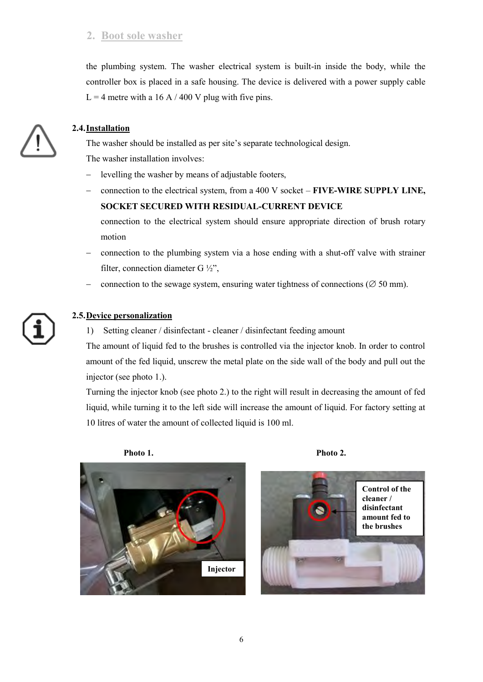the plumbing system. The washer electrical system is built-in inside the body, while the controller box is placed in a safe housing. The device is delivered with a power supply cable  $L = 4$  metre with a 16 A / 400 V plug with five pins.



## **2.4.Installation**

The washer should be installed as per site's separate technological design. The washer installation involves:

- levelling the washer by means of adjustable footers,
- connection to the electrical system, from a 400 V socket **FIVE-WIRE SUPPLY LINE, SOCKET SECURED WITH RESIDUAL-CURRENT DEVICE**

connection to the electrical system should ensure appropriate direction of brush rotary motion

- connection to the plumbing system via a hose ending with a shut-off valve with strainer filter, connection diameter G ½",
- connection to the sewage system, ensuring water tightness of connections ( $\varnothing$  50 mm).

### **2.5.Device personalization**

1) Setting cleaner / disinfectant - cleaner / disinfectant feeding amount

The amount of liquid fed to the brushes is controlled via the injector knob. In order to control amount of the fed liquid, unscrew the metal plate on the side wall of the body and pull out the injector (see photo 1.).

Turning the injector knob (see photo 2.) to the right will result in decreasing the amount of fed liquid, while turning it to the left side will increase the amount of liquid. For factory setting at 10 litres of water the amount of collected liquid is 100 ml.

Photo 1. Photo 2.





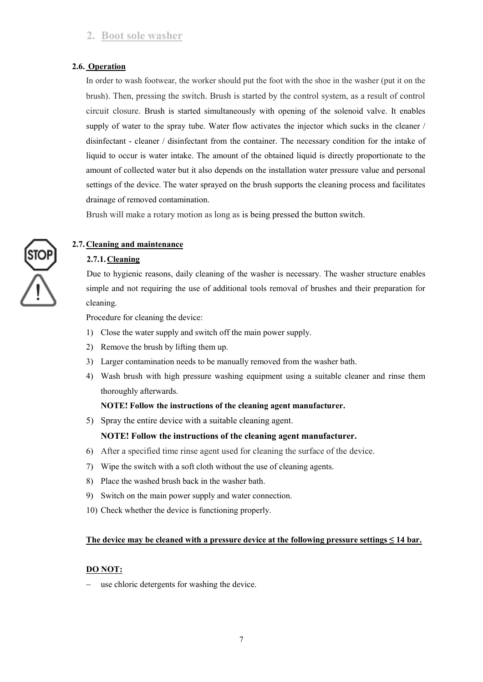#### **2.6. Operation**

In order to wash footwear, the worker should put the foot with the shoe in the washer (put it on the brush). Then, pressing the switch. Brush is started by the control system, as a result of control circuit closure. Brush is started simultaneously with opening of the solenoid valve. It enables supply of water to the spray tube. Water flow activates the injector which sucks in the cleaner / disinfectant - cleaner / disinfectant from the container. The necessary condition for the intake of liquid to occur is water intake. The amount of the obtained liquid is directly proportionate to the amount of collected water but it also depends on the installation water pressure value and personal settings of the device. The water sprayed on the brush supports the cleaning process and facilitates drainage of removed contamination.

Brush will make a rotary motion as long as is being pressed the button switch.

### **2.7. Cleaning and maintenance**

### **2.7.1.Cleaning**

Due to hygienic reasons, daily cleaning of the washer is necessary. The washer structure enables simple and not requiring the use of additional tools removal of brushes and their preparation for cleaning.

Procedure for cleaning the device:

- 1) Close the water supply and switch off the main power supply.
- 2) Remove the brush by lifting them up.
- 3) Larger contamination needs to be manually removed from the washer bath.
- 4) Wash brush with high pressure washing equipment using a suitable cleaner and rinse them thoroughly afterwards.

#### **NOTE! Follow the instructions of the cleaning agent manufacturer.**

5) Spray the entire device with a suitable cleaning agent.

#### **NOTE! Follow the instructions of the cleaning agent manufacturer.**

- 6) After a specified time rinse agent used for cleaning the surface of the device.
- 7) Wipe the switch with a soft cloth without the use of cleaning agents.
- 8) Place the washed brush back in the washer bath.
- 9) Switch on the main power supply and water connection.
- 10) Check whether the device is functioning properly.

#### **The device may be cleaned with a pressure device at the following pressure settings ≤ 14 bar.**

#### **DO NOT:**

use chloric detergents for washing the device.

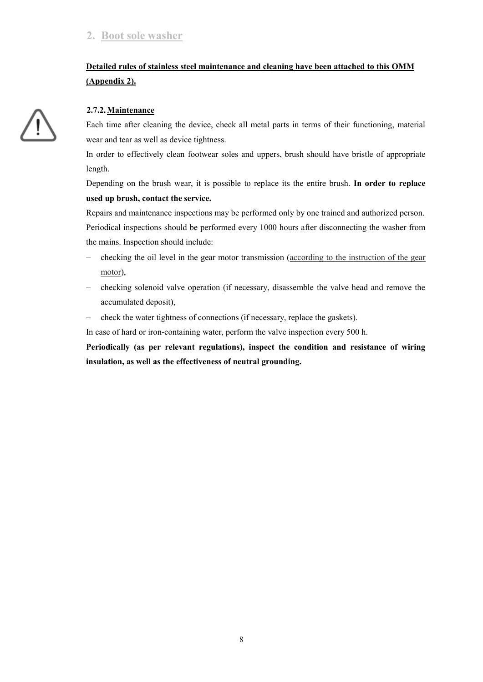# **Detailed rules of stainless steel maintenance and cleaning have been attached to this OMM (Appendix 2).**

#### **2.7.2.Maintenance**

Each time after cleaning the device, check all metal parts in terms of their functioning, material wear and tear as well as device tightness.

In order to effectively clean footwear soles and uppers, brush should have bristle of appropriate length.

Depending on the brush wear, it is possible to replace its the entire brush. **In order to replace used up brush, contact the service.**

Repairs and maintenance inspections may be performed only by one trained and authorized person. Periodical inspections should be performed every 1000 hours after disconnecting the washer from the mains. Inspection should include:

- checking the oil level in the gear motor transmission (according to the instruction of the gear motor),
- checking solenoid valve operation (if necessary, disassemble the valve head and remove the accumulated deposit),
- check the water tightness of connections (if necessary, replace the gaskets).

In case of hard or iron-containing water, perform the valve inspection every 500 h.

**Periodically (as per relevant regulations), inspect the condition and resistance of wiring insulation, as well as the effectiveness of neutral grounding.** 

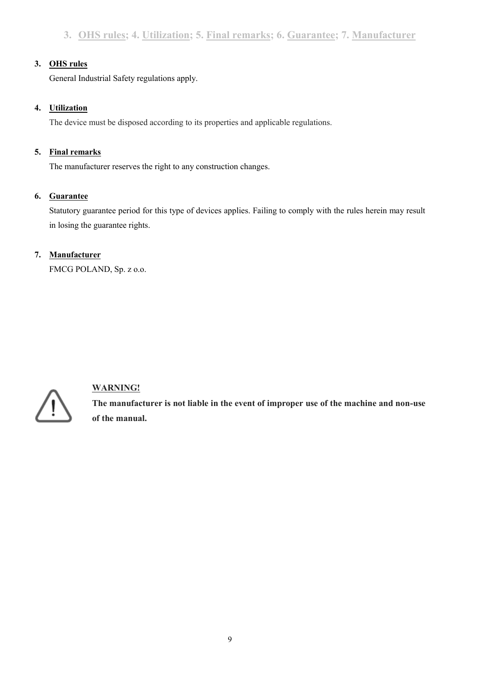## **3. OHS rules**

General Industrial Safety regulations apply.

## **4. Utilization**

The device must be disposed according to its properties and applicable regulations.

## **5. Final remarks**

The manufacturer reserves the right to any construction changes.

## **6. Guarantee**

Statutory guarantee period for this type of devices applies. Failing to comply with the rules herein may result in losing the guarantee rights.

# **7. Manufacturer**

FMCG POLAND, Sp. z o.o.



# **WARNING!**

**The manufacturer is not liable in the event of improper use of the machine and non-use of the manual.**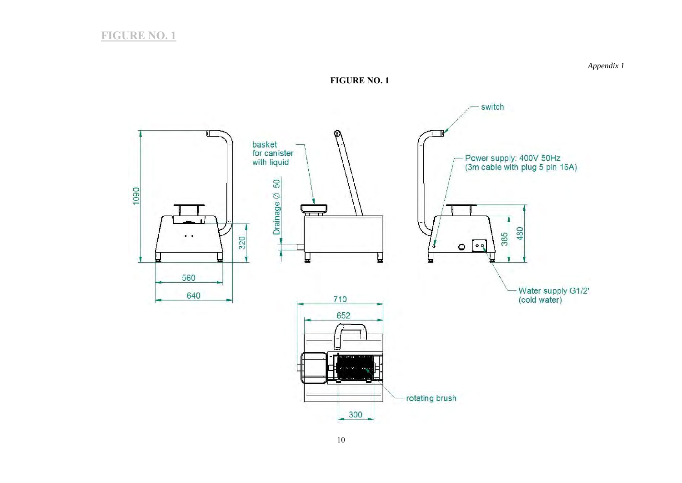

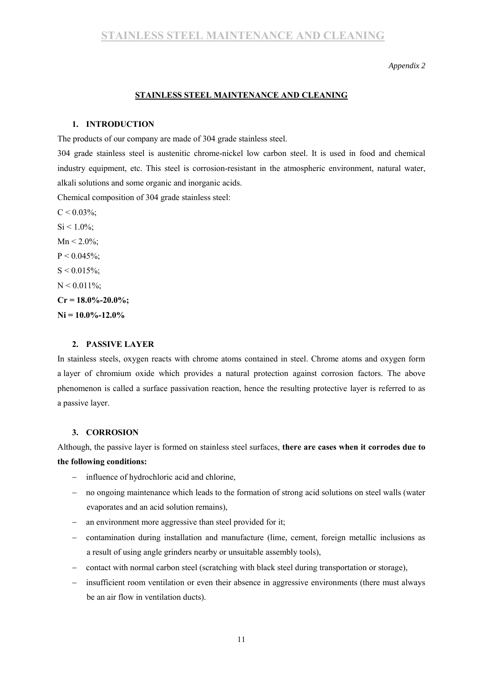*Appendix 2* 

#### **STAINLESS STEEL MAINTENANCE AND CLEANING**

#### **1. INTRODUCTION**

The products of our company are made of 304 grade stainless steel.

304 grade stainless steel is austenitic chrome-nickel low carbon steel. It is used in food and chemical industry equipment, etc. This steel is corrosion-resistant in the atmospheric environment, natural water, alkali solutions and some organic and inorganic acids.

Chemical composition of 304 grade stainless steel:

 $C < 0.03\%$  $C < 0.03\%$ ;  $Si < 1.0\%$  $Si < 1.0\%$ :  $Mn < 2.0\%$  $Mn < 2.0\%$ ;  $P < 0.045\%$  $P < 0.045\%$ ;  $S < 0.015\%$  $S < 0.015\%$ ;  $N < 0.011\%$  $N < 0.011\%$ ;  $Cr = 18.0\% - 20.0\%$  $Cr = 18.0\% - 20.0\%$ **[Ni](https://pl.wikipedia.org/wiki/Nikiel) = 10.0%-12.0%** 

#### **2. PASSIVE LAYER**

In stainless steels, oxygen reacts with chrome atoms contained in steel. Chrome atoms and oxygen form a layer of chromium oxide which provides a natural protection against corrosion factors. The above phenomenon is called a surface passivation reaction, hence the resulting protective layer is referred to as a passive layer.

#### **3. CORROSION**

Although, the passive layer is formed on stainless steel surfaces, **there are cases when it corrodes due to the following conditions:** 

- influence of hydrochloric acid and chlorine,
- no ongoing maintenance which leads to the formation of strong acid solutions on steel walls (water evaporates and an acid solution remains),
- an environment more aggressive than steel provided for it;
- contamination during installation and manufacture (lime, cement, foreign metallic inclusions as a result of using angle grinders nearby or unsuitable assembly tools),
- contact with normal carbon steel (scratching with black steel during transportation or storage),
- insufficient room ventilation or even their absence in aggressive environments (there must always be an air flow in ventilation ducts).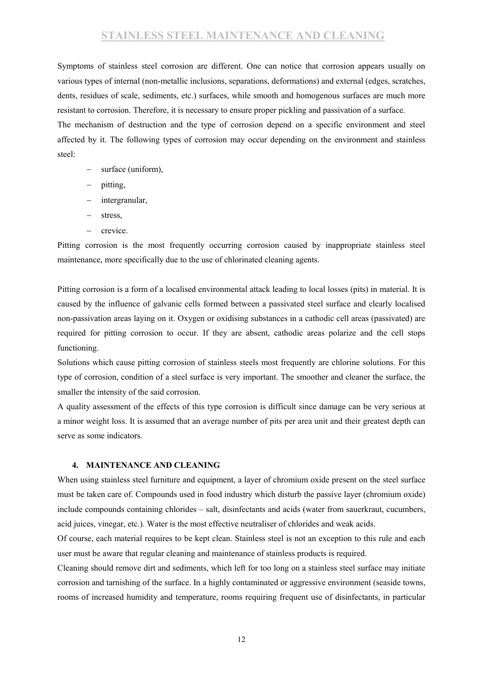# **STAINLESS STEEL MAINTENANCE AND CLEANING**

Symptoms of stainless steel corrosion are different. One can notice that corrosion appears usually on various types of internal (non-metallic inclusions, separations, deformations) and external (edges, scratches, dents, residues of scale, sediments, etc.) surfaces, while smooth and homogenous surfaces are much more resistant to corrosion. Therefore, it is necessary to ensure proper pickling and passivation of a surface.

The mechanism of destruction and the type of corrosion depend on a specific environment and steel affected by it. The following types of corrosion may occur depending on the environment and stainless steel:

- surface (uniform),
- pitting,
- intergranular,
- stress,
- $-$  crevice.

Pitting corrosion is the most frequently occurring corrosion caused by inappropriate stainless steel maintenance, more specifically due to the use of chlorinated cleaning agents.

Pitting corrosion is a form of a localised environmental attack leading to local losses (pits) in material. It is caused by the influence of galvanic cells formed between a passivated steel surface and clearly localised non-passivation areas laying on it. Oxygen or oxidising substances in a cathodic cell areas (passivated) are required for pitting corrosion to occur. If they are absent, cathodic areas polarize and the cell stops functioning.

Solutions which cause pitting corrosion of stainless steels most frequently are chlorine solutions. For this type of corrosion, condition of a steel surface is very important. The smoother and cleaner the surface, the smaller the intensity of the said corrosion.

A quality assessment of the effects of this type corrosion is difficult since damage can be very serious at a minor weight loss. It is assumed that an average number of pits per area unit and their greatest depth can serve as some indicators.

#### **4. MAINTENANCE AND CLEANING**

When using stainless steel furniture and equipment, a layer of chromium oxide present on the steel surface must be taken care of. Compounds used in food industry which disturb the passive layer (chromium oxide) include compounds containing chlorides – salt, disinfectants and acids (water from sauerkraut, cucumbers, acid juices, vinegar, etc.). Water is the most effective neutraliser of chlorides and weak acids.

Of course, each material requires to be kept clean. Stainless steel is not an exception to this rule and each user must be aware that regular cleaning and maintenance of stainless products is required.

Cleaning should remove dirt and sediments, which left for too long on a stainless steel surface may initiate corrosion and tarnishing of the surface. In a highly contaminated or aggressive environment (seaside towns, rooms of increased humidity and temperature, rooms requiring frequent use of disinfectants, in particular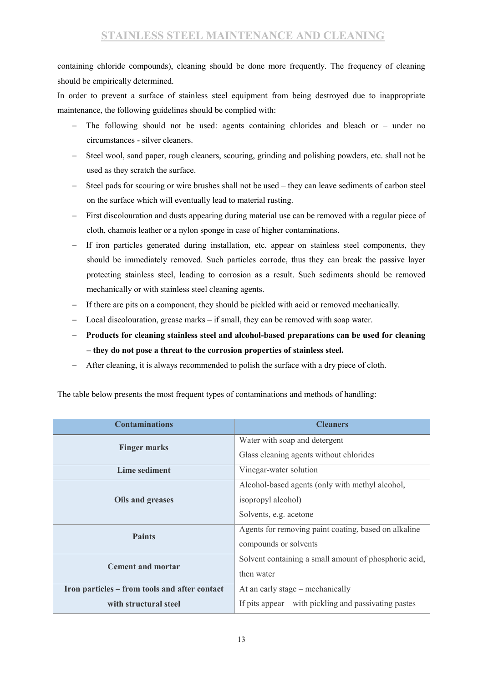containing chloride compounds), cleaning should be done more frequently. The frequency of cleaning should be empirically determined.

In order to prevent a surface of stainless steel equipment from being destroyed due to inappropriate maintenance, the following guidelines should be complied with:

- The following should not be used: agents containing chlorides and bleach or under no circumstances - silver cleaners.
- Steel wool, sand paper, rough cleaners, scouring, grinding and polishing powders, etc. shall not be used as they scratch the surface.
- Steel pads for scouring or wire brushes shall not be used they can leave sediments of carbon steel on the surface which will eventually lead to material rusting.
- First discolouration and dusts appearing during material use can be removed with a regular piece of cloth, chamois leather or a nylon sponge in case of higher contaminations.
- If iron particles generated during installation, etc. appear on stainless steel components, they should be immediately removed. Such particles corrode, thus they can break the passive layer protecting stainless steel, leading to corrosion as a result. Such sediments should be removed mechanically or with stainless steel cleaning agents.
- If there are pits on a component, they should be pickled with acid or removed mechanically.
- Local discolouration, grease marks if small, they can be removed with soap water.
- **Products for cleaning stainless steel and alcohol-based preparations can be used for cleaning – they do not pose a threat to the corrosion properties of stainless steel.**
- After cleaning, it is always recommended to polish the surface with a dry piece of cloth.

| <b>Contaminations</b>                         | <b>Cleaners</b>                                       |  |  |
|-----------------------------------------------|-------------------------------------------------------|--|--|
| <b>Finger marks</b>                           | Water with soap and detergent                         |  |  |
|                                               | Glass cleaning agents without chlorides               |  |  |
| Lime sediment                                 | Vinegar-water solution                                |  |  |
|                                               | Alcohol-based agents (only with methyl alcohol,       |  |  |
| Oils and greases                              | isopropyl alcohol)                                    |  |  |
|                                               | Solvents, e.g. acetone                                |  |  |
| <b>Paints</b>                                 | Agents for removing paint coating, based on alkaline  |  |  |
|                                               | compounds or solvents                                 |  |  |
| <b>Cement and mortar</b>                      | Solvent containing a small amount of phosphoric acid, |  |  |
|                                               | then water                                            |  |  |
| Iron particles – from tools and after contact | At an early stage – mechanically                      |  |  |
| with structural steel                         | If pits appear – with pickling and passivating pastes |  |  |

The table below presents the most frequent types of contaminations and methods of handling: